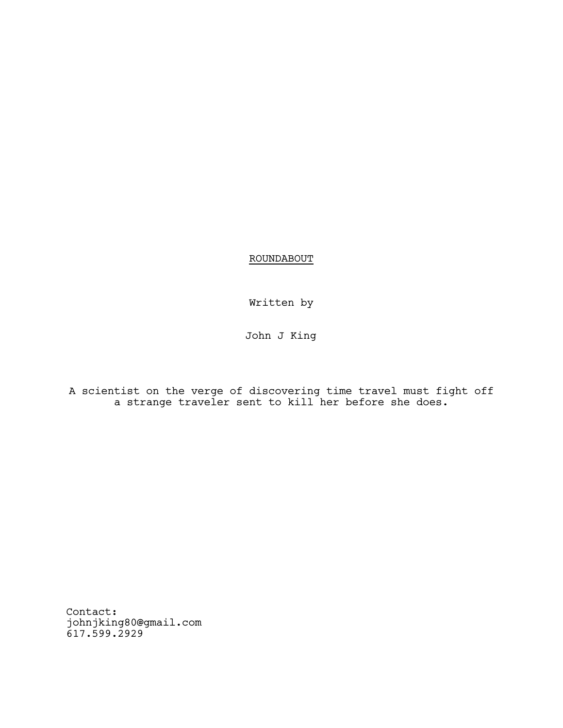ROUNDABOUT

Written by

John J King

A scientist on the verge of discovering time travel must fight off a strange traveler sent to kill her before she does.

Contact: johnjking80@gmail.com 617.599.2929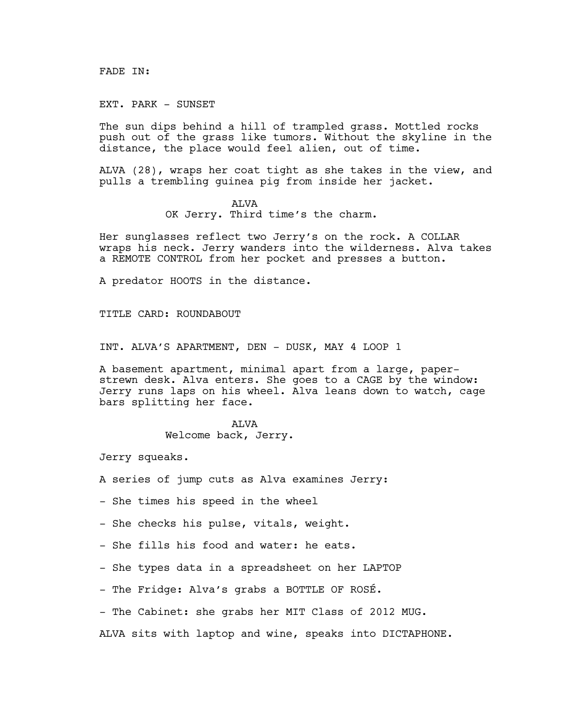FADE IN:

EXT. PARK - SUNSET

The sun dips behind a hill of trampled grass. Mottled rocks push out of the grass like tumors. Without the skyline in the distance, the place would feel alien, out of time.

ALVA (28), wraps her coat tight as she takes in the view, and pulls a trembling guinea pig from inside her jacket.

## ALVA

OK Jerry. Third time's the charm.

Her sunglasses reflect two Jerry's on the rock. A COLLAR wraps his neck. Jerry wanders into the wilderness. Alva takes a REMOTE CONTROL from her pocket and presses a button.

A predator HOOTS in the distance.

TITLE CARD: ROUNDABOUT

INT. ALVA'S APARTMENT, DEN - DUSK, MAY 4 LOOP 1

A basement apartment, minimal apart from a large, paperstrewn desk. Alva enters. She goes to a CAGE by the window: Jerry runs laps on his wheel. Alva leans down to watch, cage bars splitting her face.

> ALVA Welcome back, Jerry.

Jerry squeaks.

- A series of jump cuts as Alva examines Jerry:
- She times his speed in the wheel
- She checks his pulse, vitals, weight.
- She fills his food and water: he eats.
- She types data in a spreadsheet on her LAPTOP
- The Fridge: Alva's grabs a BOTTLE OF ROSÉ.
- The Cabinet: she grabs her MIT Class of 2012 MUG.

ALVA sits with laptop and wine, speaks into DICTAPHONE.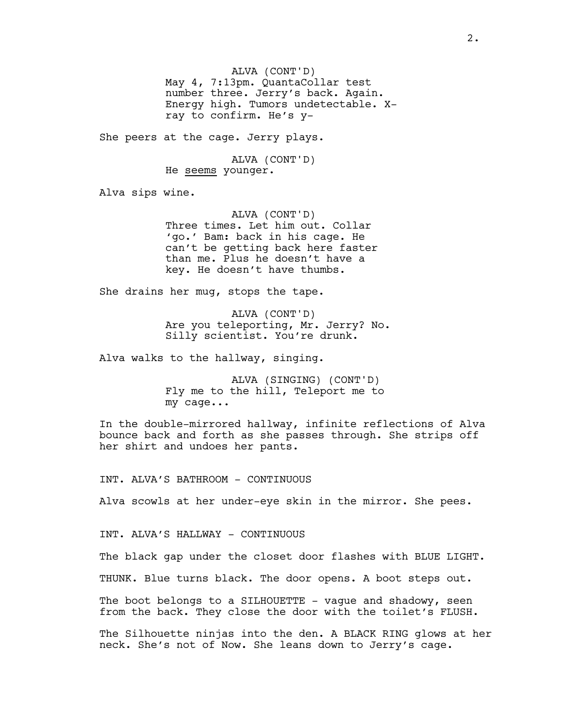ALVA (CONT'D) May 4, 7:13pm. QuantaCollar test number three. Jerry's back. Again. Energy high. Tumors undetectable. Xray to confirm. He's y-

She peers at the cage. Jerry plays.

ALVA (CONT'D) He seems younger.

Alva sips wine.

ALVA (CONT'D) Three times. Let him out. Collar 'go.' Bam: back in his cage. He can't be getting back here faster than me. Plus he doesn't have a key. He doesn't have thumbs.

She drains her mug, stops the tape.

ALVA (CONT'D) Are you teleporting, Mr. Jerry? No. Silly scientist. You're drunk.

Alva walks to the hallway, singing.

ALVA (SINGING) (CONT'D) Fly me to the hill, Teleport me to my cage...

In the double-mirrored hallway, infinite reflections of Alva bounce back and forth as she passes through. She strips off her shirt and undoes her pants.

INT. ALVA'S BATHROOM - CONTINUOUS

Alva scowls at her under-eye skin in the mirror. She pees.

INT. ALVA'S HALLWAY - CONTINUOUS

The black gap under the closet door flashes with BLUE LIGHT.

THUNK. Blue turns black. The door opens. A boot steps out.

The boot belongs to a SILHOUETTE - vague and shadowy, seen from the back. They close the door with the toilet's FLUSH.

The Silhouette ninjas into the den. A BLACK RING glows at her neck. She's not of Now. She leans down to Jerry's cage.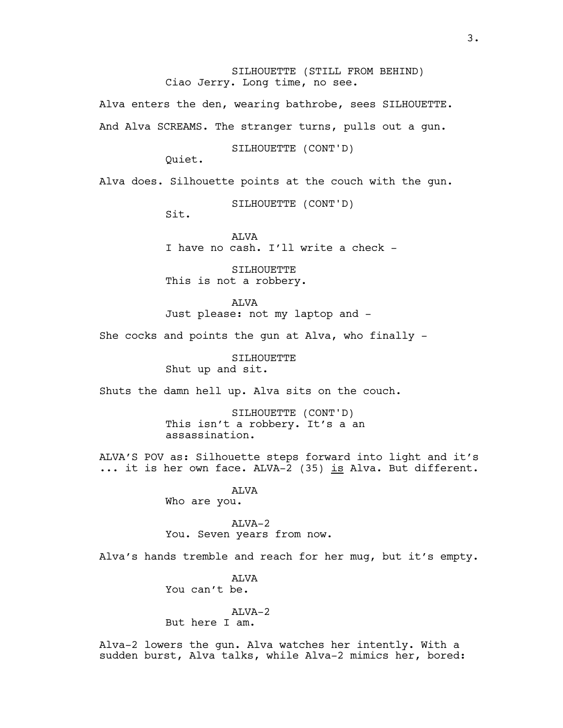SILHOUETTE (STILL FROM BEHIND) Ciao Jerry. Long time, no see.

Alva enters the den, wearing bathrobe, sees SILHOUETTE**.** And Alva SCREAMS. The stranger turns, pulls out a gun.

SILHOUETTE (CONT'D)

Quiet.

Alva does. Silhouette points at the couch with the gun.

SILHOUETTE (CONT'D)

Sit.

**ALVA** I have no cash. I'll write a check -

SILHOUETTE This is not a robbery.

ALVA Just please: not my laptop and -

She cocks and points the gun at Alva, who finally -

SILHOUETTE Shut up and sit.

Shuts the damn hell up. Alva sits on the couch.

SILHOUETTE (CONT'D) This isn't a robbery. It's a an assassination.

ALVA'S POV as: Silhouette steps forward into light and it's ... it is her own face. ALVA-2 (35) is Alva. But different.

> ALVA Who are you.

ALVA-2 You. Seven years from now.

Alva's hands tremble and reach for her mug, but it's empty.

**ALVA** You can't be.

## ALVA-2

But here I am.

Alva-2 lowers the gun. Alva watches her intently. With a sudden burst, Alva talks, while Alva-2 mimics her, bored: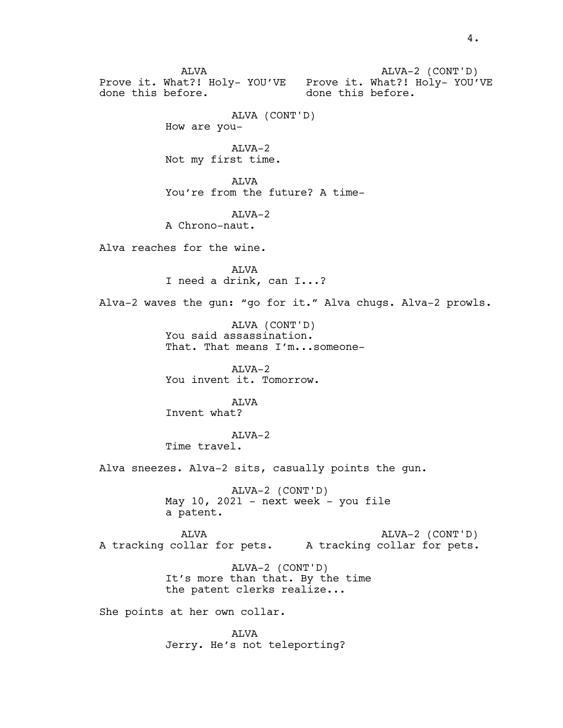ALVA Prove it. What?! Holy- YOU'VE Prove it. What?! Holy- YOU'VE done this before. ALVA-2 (CONT'D) done this before. ALVA (CONT'D) How are you-ALVA-2 Not my first time. ALVA You're from the future? A time- $AT<sub>Y</sub>A-2$ A Chrono-naut. Alva reaches for the wine. ALVA I need a drink, can I...? Alva-2 waves the gun: "go for it." Alva chugs. Alva-2 prowls. ALVA (CONT'D) You said assassination. That. That means I'm...someone-ALVA-2 You invent it. Tomorrow. ALVA Invent what? ALVA-2 Time travel. Alva sneezes. Alva-2 sits, casually points the gun. ALVA-2 (CONT'D) May  $10$ ,  $2021$  - next week - you file a patent. ALVA A tracking collar for pets. A tracking collar for pets. ALVA-2 (CONT'D) ALVA-2 (CONT'D) It's more than that. By the time the patent clerks realize... She points at her own collar. ALVA Jerry. He's not teleporting?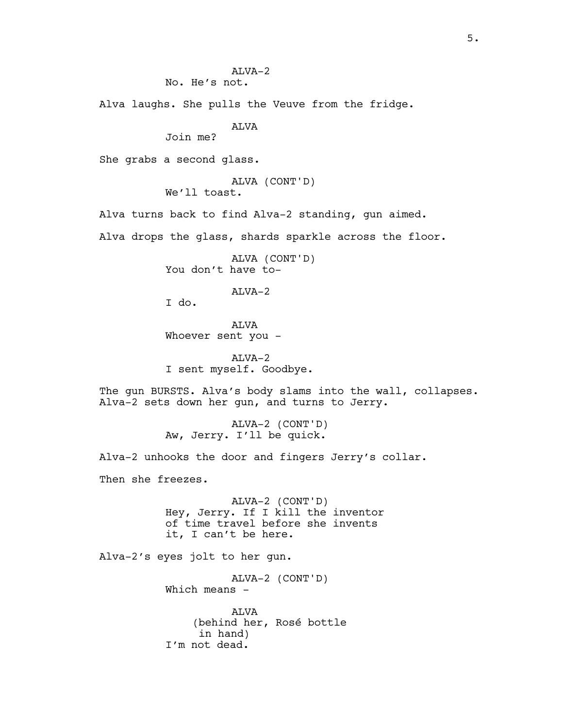Alva laughs. She pulls the Veuve from the fridge.

ALVA

Join me?

She grabs a second glass.

ALVA (CONT'D) We'll toast.

Alva turns back to find Alva-2 standing, gun aimed.

Alva drops the glass, shards sparkle across the floor.

ALVA (CONT'D) You don't have to-

## ALVA-2

I do.

ALVA Whoever sent you -

ALVA-2 I sent myself. Goodbye.

The gun BURSTS. Alva's body slams into the wall, collapses. Alva-2 sets down her gun, and turns to Jerry.

> ALVA-2 (CONT'D) Aw, Jerry. I'll be quick.

Alva-2 unhooks the door and fingers Jerry's collar.

Then she freezes.

ALVA-2 (CONT'D) Hey, Jerry. If I kill the inventor of time travel before she invents it, I can't be here.

Alva-2's eyes jolt to her gun.

ALVA-2 (CONT'D) Which means  $-$ ALVA (behind her, Rosé bottle in hand) I'm not dead.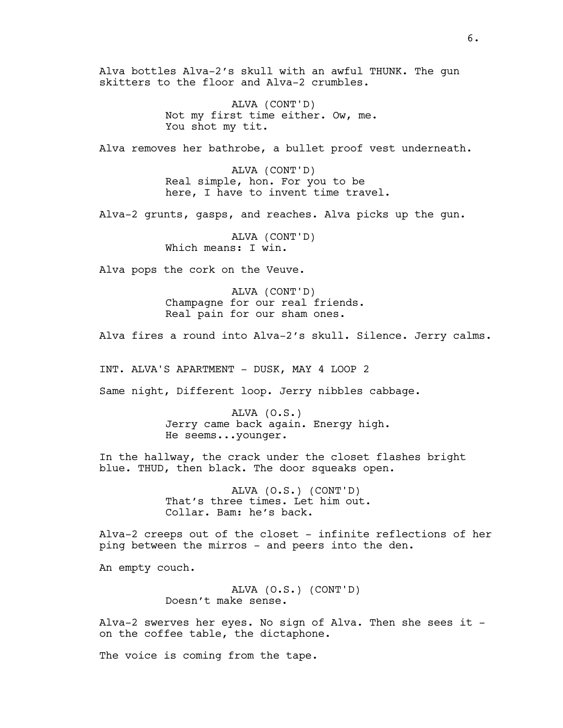Alva bottles Alva-2's skull with an awful THUNK. The gun skitters to the floor and Alva-2 crumbles.

> ALVA (CONT'D) Not my first time either. Ow, me. You shot my tit.

Alva removes her bathrobe, a bullet proof vest underneath.

ALVA (CONT'D) Real simple, hon. For you to be here, I have to invent time travel.

Alva-2 grunts, gasps, and reaches. Alva picks up the gun.

ALVA (CONT'D) Which means: I win.

Alva pops the cork on the Veuve.

ALVA (CONT'D) Champagne for our real friends. Real pain for our sham ones.

Alva fires a round into Alva-2's skull. Silence. Jerry calms.

INT. ALVA'S APARTMENT - DUSK, MAY 4 LOOP 2

Same night, Different loop. Jerry nibbles cabbage.

ALVA (O.S.) Jerry came back again. Energy high. He seems...younger.

In the hallway, the crack under the closet flashes bright blue. THUD, then black. The door squeaks open.

> ALVA (O.S.) (CONT'D) That's three times. Let him out. Collar. Bam: he's back.

Alva-2 creeps out of the closet - infinite reflections of her ping between the mirros - and peers into the den.

An empty couch.

ALVA (O.S.) (CONT'D) Doesn't make sense.

Alva-2 swerves her eyes. No sign of Alva. Then she sees it on the coffee table, the dictaphone.

The voice is coming from the tape.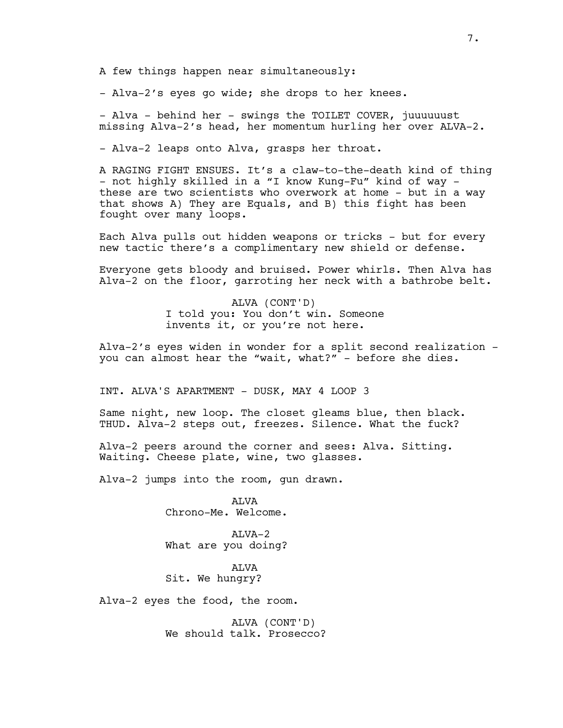A few things happen near simultaneously:

- Alva-2's eyes go wide; she drops to her knees.

- Alva - behind her - swings the TOILET COVER, juuuuuust missing Alva-2's head, her momentum hurling her over ALVA-2.

- Alva-2 leaps onto Alva, grasps her throat.

A RAGING FIGHT ENSUES. It's a claw-to-the-death kind of thing - not highly skilled in a "I know Kung-Fu" kind of way these are two scientists who overwork at home - but in a way that shows A) They are Equals, and B) this fight has been fought over many loops.

Each Alva pulls out hidden weapons or tricks - but for every new tactic there's a complimentary new shield or defense.

Everyone gets bloody and bruised. Power whirls. Then Alva has Alva-2 on the floor, garroting her neck with a bathrobe belt.

> ALVA (CONT'D) I told you: You don't win. Someone invents it, or you're not here.

Alva-2's eyes widen in wonder for a split second realization you can almost hear the "wait, what?" - before she dies.

INT. ALVA'S APARTMENT - DUSK, MAY 4 LOOP 3

Same night, new loop. The closet gleams blue, then black. THUD. Alva-2 steps out, freezes. Silence. What the fuck?

Alva-2 peers around the corner and sees: Alva. Sitting. Waiting. Cheese plate, wine, two glasses.

Alva-2 jumps into the room, gun drawn.

ALVA Chrono-Me. Welcome.

ALVA-2 What are you doing?

ALVA Sit. We hungry?

Alva-2 eyes the food, the room.

ALVA (CONT'D) We should talk. Prosecco?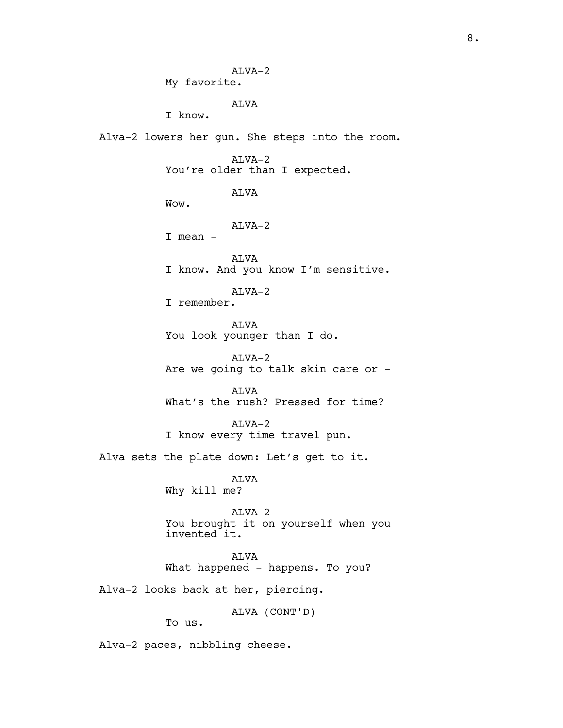ALVA-2 My favorite. ALVA I know. Alva-2 lowers her gun. She steps into the room. ALVA-2 You're older than I expected. ALVA Wow. ALVA-2 I mean - ALVA I know. And you know I'm sensitive. ALVA-2 I remember. ALVA You look younger than I do. ALVA-2 Are we going to talk skin care or - ALVA What's the rush? Pressed for time? ALVA-2 I know every time travel pun. Alva sets the plate down: Let's get to it. ALVA Why kill me? ALVA-2 You brought it on yourself when you invented it. ALVA What happened - happens. To you? Alva-2 looks back at her, piercing. ALVA (CONT'D) To us. Alva-2 paces, nibbling cheese.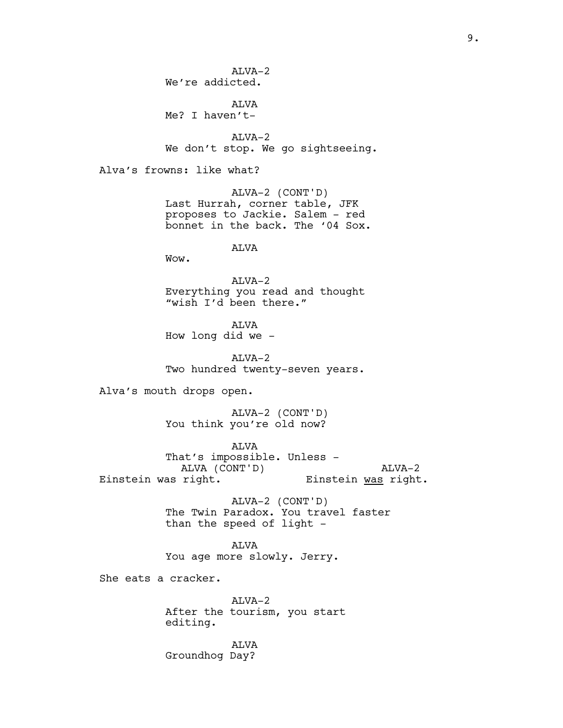$AT<sub>Y</sub>A-2$ We're addicted.

ALVA Me? I haven't-

ALVA-2 We don't stop. We go sightseeing.

Alva's frowns: like what?

ALVA-2 (CONT'D) Last Hurrah, corner table, JFK proposes to Jackie. Salem - red bonnet in the back. The '04 Sox.

ALVA

Wow.

ALVA-2 Everything you read and thought "wish I'd been there."

ALVA How long did we -

ALVA-2 Two hundred twenty-seven years.

Alva's mouth drops open.

ALVA-2 (CONT'D) You think you're old now?

ALVA That's impossible. Unless - ALVA (CONT'D) Einstein was right. ALVA-2 Einstein was right.

> ALVA-2 (CONT'D) The Twin Paradox. You travel faster than the speed of light -

ALVA You age more slowly. Jerry.

She eats a cracker.

ALVA-2 After the tourism, you start editing.

ALVA Groundhog Day?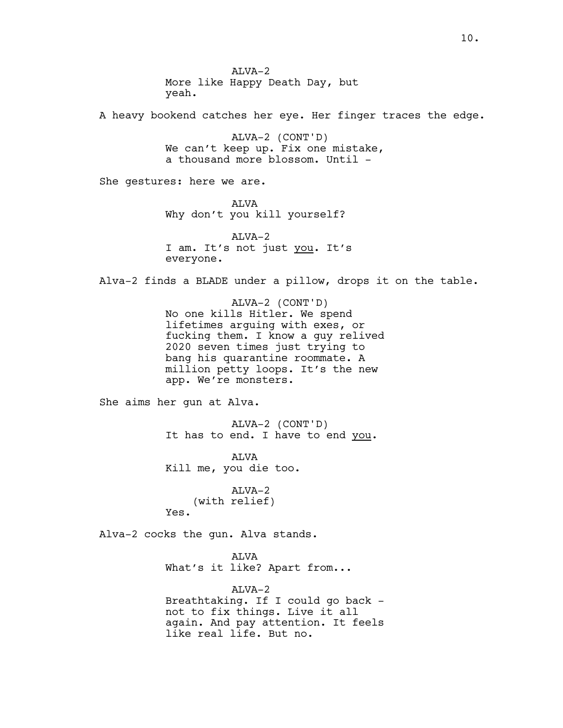$AT<sub>Y</sub>A-2$ More like Happy Death Day, but yeah. A heavy bookend catches her eye. Her finger traces the edge. ALVA-2 (CONT'D) We can't keep up. Fix one mistake, a thousand more blossom. Until -She gestures: here we are. ALVA Why don't you kill yourself? ALVA-2 I am. It's not just you. It's everyone. Alva-2 finds a BLADE under a pillow, drops it on the table. ALVA-2 (CONT'D) No one kills Hitler. We spend lifetimes arguing with exes, or fucking them. I know a guy relived 2020 seven times just trying to bang his quarantine roommate. A million petty loops. It's the new app. We're monsters. She aims her gun at Alva. ALVA-2 (CONT'D) It has to end. I have to end you. ALVA Kill me, you die too. ALVA-2 (with relief) Yes. Alva-2 cocks the gun. Alva stands. ALVA What's it like? Apart from... ALVA-2 Breathtaking. If I could go back not to fix things. Live it all again. And pay attention. It feels like real life. But no.

10.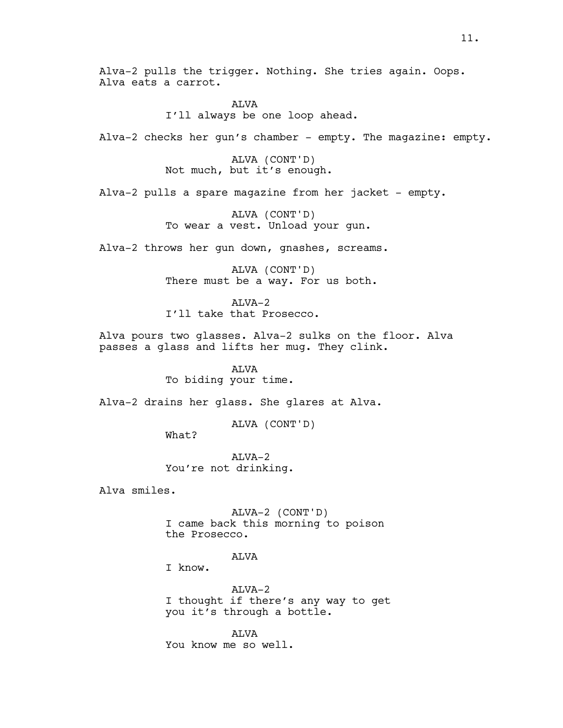Alva-2 pulls the trigger. Nothing. She tries again. Oops. Alva eats a carrot.

> **ALVA** I'll always be one loop ahead.

Alva-2 checks her gun's chamber - empty. The magazine: empty.

ALVA (CONT'D) Not much, but it's enough.

Alva-2 pulls a spare magazine from her jacket - empty.

ALVA (CONT'D) To wear a vest. Unload your gun.

Alva-2 throws her gun down, gnashes, screams.

ALVA (CONT'D) There must be a way. For us both.

ALVA-2 I'll take that Prosecco.

Alva pours two glasses. Alva-2 sulks on the floor. Alva passes a glass and lifts her mug. They clink.

> ALVA To biding your time.

Alva-2 drains her glass. She glares at Alva.

ALVA (CONT'D)

What?

 $AT<sub>Y</sub>A-2$ You're not drinking.

Alva smiles.

ALVA-2 (CONT'D) I came back this morning to poison the Prosecco.

ALVA

I know.

ALVA-2 I thought if there's any way to get you it's through a bottle.

AT<sub>I</sub>VA You know me so well.